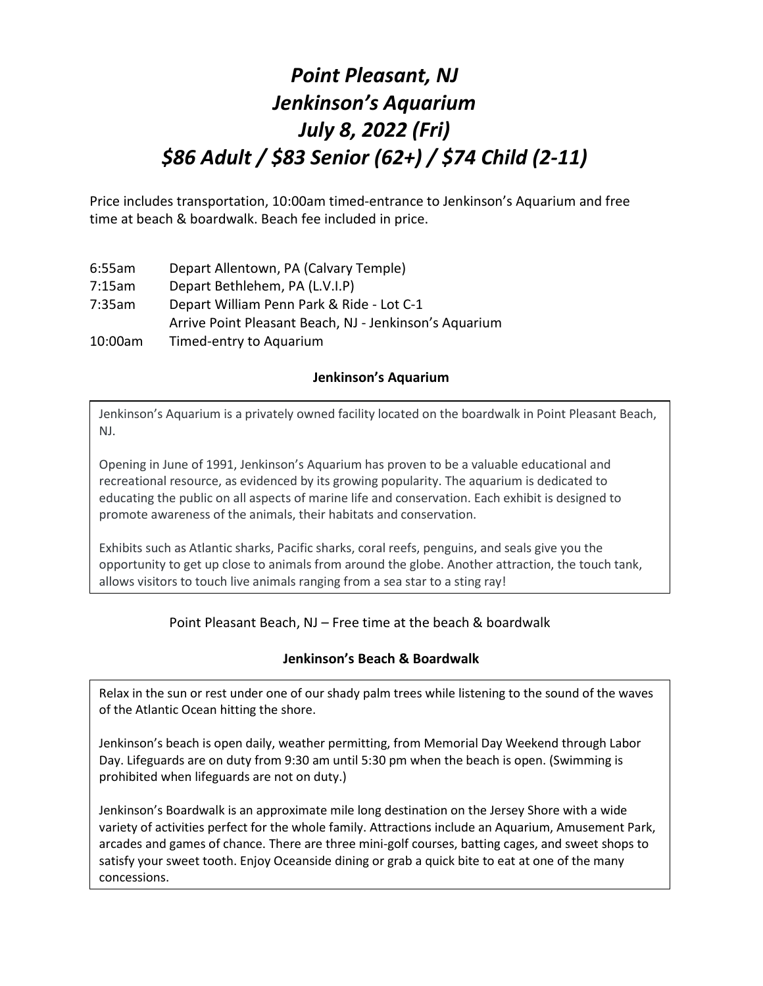# *Point Pleasant, NJ Jenkinson's Aquarium July 8, 2022 (Fri) \$86 Adult / \$83 Senior (62+) / \$74 Child (2-11)*

Price includes transportation, 10:00am timed-entrance to Jenkinson's Aquarium and free time at beach & boardwalk. Beach fee included in price.

- 6:55am Depart Allentown, PA (Calvary Temple)
- 7:15am Depart Bethlehem, PA (L.V.I.P)
- 7:35am Depart William Penn Park & Ride Lot C-1 Arrive Point Pleasant Beach, NJ - Jenkinson's Aquarium
- 10:00am Timed-entry to Aquarium

## **Jenkinson's Aquarium**

Jenkinson's Aquarium is a privately owned facility located on the boardwalk in Point Pleasant Beach, NJ.

Opening in June of 1991, Jenkinson's Aquarium has proven to be a valuable educational and recreational resource, as evidenced by its growing popularity. The aquarium is dedicated to educating the public on all aspects of marine life and conservation. Each exhibit is designed to promote awareness of the animals, their habitats and conservation.

Exhibits such as Atlantic sharks, Pacific sharks, coral reefs, penguins, and seals give you the opportunity to get up close to animals from around the globe. Another attraction, the touch tank, allows visitors to touch live animals ranging from a sea star to a sting ray!

## Point Pleasant Beach, NJ – Free time at the beach & boardwalk

## **Jenkinson's Beach & Boardwalk**

Relax in the sun or rest under one of our shady palm trees while listening to the sound of the waves of the Atlantic Ocean hitting the shore.

Jenkinson's beach is open daily, weather permitting, from Memorial Day Weekend through Labor Day. Lifeguards are on duty from 9:30 am until 5:30 pm when the beach is open. (Swimming is prohibited when lifeguards are not on duty.)

Jenkinson's Boardwalk is an approximate mile long destination on the Jersey Shore with a wide variety of activities perfect for the whole family. Attractions include an Aquarium, Amusement Park, arcades and games of chance. There are three mini-golf courses, batting cages, and sweet shops to satisfy your sweet tooth. Enjoy Oceanside dining or grab a quick bite to eat at one of the many concessions.